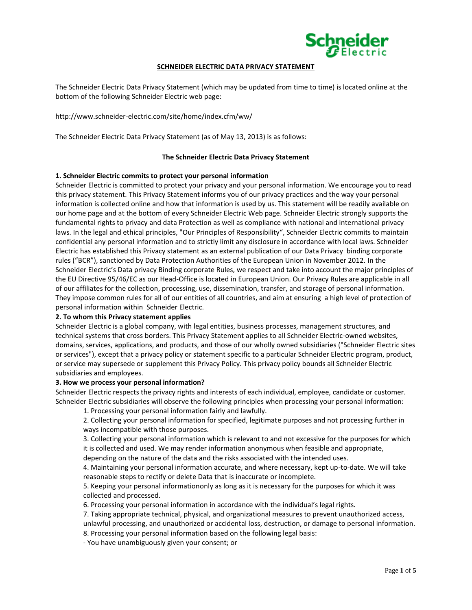

# **SCHNEIDER ELECTRIC DATA PRIVACY STATEMENT**

The Schneider Electric Data Privacy Statement (which may be updated from time to time) is located online at the bottom of the following Schneider Electric web page:

http://www.schneider-electric.com/site/home/index.cfm/ww/

The Schneider Electric Data Privacy Statement (as of May 13, 2013) is as follows:

### **The Schneider Electric Data Privacy Statement**

### **1. Schneider Electric commits to protect your personal information**

Schneider Electric is committed to protect your privacy and your personal information. We encourage you to read this privacy statement. This Privacy Statement informs you of our privacy practices and the way your personal information is collected online and how that information is used by us. This statement will be readily available on our home page and at the bottom of every Schneider Electric Web page. Schneider Electric strongly supports the fundamental rights to privacy and data Protection as well as compliance with national and international privacy laws. In the legal and ethical principles, "Our Principles of Responsibility", Schneider Electric commits to maintain confidential any personal information and to strictly limit any disclosure in accordance with local laws. Schneider Electric has established this Privacy statement as an external publication of our Data Privacy binding corporate rules ("BCR"), sanctioned by Data Protection Authorities of the European Union in November 2012. In the Schneider Electric's Data privacy Binding corporate Rules, we respect and take into account the major principles of the EU Directive 95/46/EC as our Head-Office is located in European Union. Our Privacy Rules are applicable in all of our affiliates for the collection, processing, use, dissemination, transfer, and storage of personal information. They impose common rules for all of our entities of all countries, and aim at ensuring a high level of protection of personal information within Schneider Electric.

#### **2. To whom this Privacy statement applies**

Schneider Electric is a global company, with legal entities, business processes, management structures, and technical systems that cross borders. This Privacy Statement applies to all Schneider Electric-owned websites, domains, services, applications, and products, and those of our wholly owned subsidiaries ("Schneider Electric sites or services"), except that a privacy policy or statement specific to a particular Schneider Electric program, product, or service may supersede or supplement this Privacy Policy. This privacy policy bounds all Schneider Electric subsidiaries and employees.

#### **3. How we process your personal information?**

Schneider Electric respects the privacy rights and interests of each individual, employee, candidate or customer. Schneider Electric subsidiaries will observe the following principles when processing your personal information:

1. Processing your personal information fairly and lawfully.

2. Collecting your personal information for specified, legitimate purposes and not processing further in ways incompatible with those purposes.

3. Collecting your personal information which is relevant to and not excessive for the purposes for which it is collected and used. We may render information anonymous when feasible and appropriate, depending on the nature of the data and the risks associated with the intended uses.

4. Maintaining your personal information accurate, and where necessary, kept up-to-date. We will take reasonable steps to rectify or delete Data that is inaccurate or incomplete.

5. Keeping your personal informationonly as long as it is necessary for the purposes for which it was collected and processed.

6. Processing your personal information in accordance with the individual's legal rights.

7. Taking appropriate technical, physical, and organizational measures to prevent unauthorized access, unlawful processing, and unauthorized or accidental loss, destruction, or damage to personal information. 8. Processing your personal information based on the following legal basis:

- You have unambiguously given your consent; or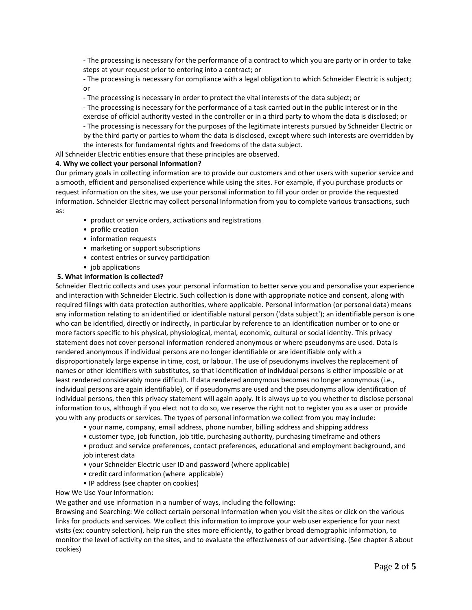- The processing is necessary for the performance of a contract to which you are party or in order to take steps at your request prior to entering into a contract; or

- The processing is necessary for compliance with a legal obligation to which Schneider Electric is subject; or

- The processing is necessary in order to protect the vital interests of the data subject; or

- The processing is necessary for the performance of a task carried out in the public interest or in the exercise of official authority vested in the controller or in a third party to whom the data is disclosed; or - The processing is necessary for the purposes of the legitimate interests pursued by Schneider Electric or by the third party or parties to whom the data is disclosed, except where such interests are overridden by the interests for fundamental rights and freedoms of the data subject.

All Schneider Electric entities ensure that these principles are observed.

# **4. Why we collect your personal information?**

Our primary goals in collecting information are to provide our customers and other users with superior service and a smooth, efficient and personalised experience while using the sites. For example, if you purchase products or request information on the sites, we use your personal information to fill your order or provide the requested information. Schneider Electric may collect personal Information from you to complete various transactions, such as:

- product or service orders, activations and registrations
- profile creation
- information requests
- marketing or support subscriptions
- contest entries or survey participation
- job applications

# **5. What information is collected?**

Schneider Electric collects and uses your personal information to better serve you and personalise your experience and interaction with Schneider Electric. Such collection is done with appropriate notice and consent, along with required filings with data protection authorities, where applicable. Personal information (or personal data) means any information relating to an identified or identifiable natural person ('data subject'); an identifiable person is one who can be identified, directly or indirectly, in particular by reference to an identification number or to one or more factors specific to his physical, physiological, mental, economic, cultural or social identity. This privacy statement does not cover personal information rendered anonymous or where pseudonyms are used. Data is rendered anonymous if individual persons are no longer identifiable or are identifiable only with a disproportionately large expense in time, cost, or labour. The use of pseudonyms involves the replacement of names or other identifiers with substitutes, so that identification of individual persons is either impossible or at least rendered considerably more difficult. If data rendered anonymous becomes no longer anonymous (i.e., individual persons are again identifiable), or if pseudonyms are used and the pseudonyms allow identification of individual persons, then this privacy statement will again apply. It is always up to you whether to disclose personal information to us, although if you elect not to do so, we reserve the right not to register you as a user or provide you with any products or services. The types of personal information we collect from you may include:

- your name, company, email address, phone number, billing address and shipping address
- customer type, job function, job title, purchasing authority, purchasing timeframe and others

• product and service preferences, contact preferences, educational and employment background, and job interest data

- your Schneider Electric user ID and password (where applicable)
- credit card information (where applicable)
- IP address (see chapter on cookies)
- How We Use Your Information:

We gather and use information in a number of ways, including the following:

Browsing and Searching: We collect certain personal Information when you visit the sites or click on the various links for products and services. We collect this information to improve your web user experience for your next visits (ex: country selection), help run the sites more efficiently, to gather broad demographic information, to monitor the level of activity on the sites, and to evaluate the effectiveness of our advertising. (See chapter 8 about cookies)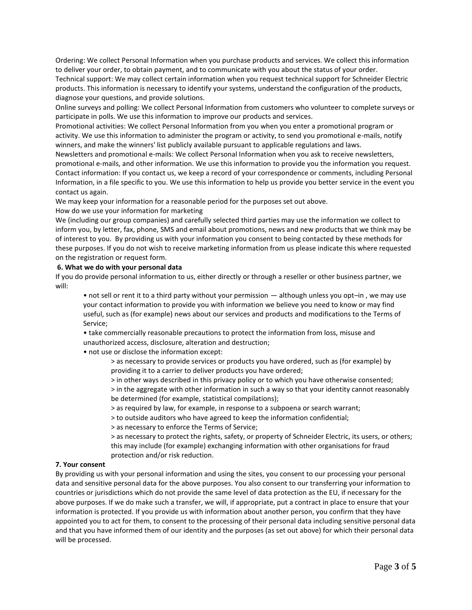Ordering: We collect Personal Information when you purchase products and services. We collect this information to deliver your order, to obtain payment, and to communicate with you about the status of your order.

Technical support: We may collect certain information when you request technical support for Schneider Electric products. This information is necessary to identify your systems, understand the configuration of the products, diagnose your questions, and provide solutions.

Online surveys and polling: We collect Personal Information from customers who volunteer to complete surveys or participate in polls. We use this information to improve our products and services.

Promotional activities: We collect Personal Information from you when you enter a promotional program or activity. We use this information to administer the program or activity, to send you promotional e-mails, notify winners, and make the winners' list publicly available pursuant to applicable regulations and laws.

Newsletters and promotional e-mails: We collect Personal Information when you ask to receive newsletters, promotional e-mails, and other information. We use this information to provide you the information you request. Contact information: If you contact us, we keep a record of your correspondence or comments, including Personal Information, in a file specific to you. We use this information to help us provide you better service in the event you contact us again.

We may keep your information for a reasonable period for the purposes set out above.

# How do we use your information for marketing

We (including our group companies) and carefully selected third parties may use the information we collect to inform you, by letter, fax, phone, SMS and email about promotions, news and new products that we think may be of interest to you. By providing us with your information you consent to being contacted by these methods for these purposes. If you do not wish to receive marketing information from us please indicate this where requested on the registration or request form.

### **6. What we do with your personal data**

If you do provide personal information to us, either directly or through a reseller or other business partner, we will:

• not sell or rent it to a third party without your permission — although unless you opt–in , we may use your contact information to provide you with information we believe you need to know or may find useful, such as (for example) news about our services and products and modifications to the Terms of Service;

• take commercially reasonable precautions to protect the information from loss, misuse and unauthorized access, disclosure, alteration and destruction;

• not use or disclose the information except:

> as necessary to provide services or products you have ordered, such as (for example) by providing it to a carrier to deliver products you have ordered;

> in other ways described in this privacy policy or to which you have otherwise consented;

> in the aggregate with other information in such a way so that your identity cannot reasonably be determined (for example, statistical compilations);

> as required by law, for example, in response to a subpoena or search warrant;

> to outside auditors who have agreed to keep the information confidential;

> as necessary to enforce the Terms of Service;

> as necessary to protect the rights, safety, or property of Schneider Electric, its users, or others; this may include (for example) exchanging information with other organisations for fraud protection and/or risk reduction.

## **7. Your consent**

By providing us with your personal information and using the sites, you consent to our processing your personal data and sensitive personal data for the above purposes. You also consent to our transferring your information to countries or jurisdictions which do not provide the same level of data protection as the EU, if necessary for the above purposes. If we do make such a transfer, we will, if appropriate, put a contract in place to ensure that your information is protected. If you provide us with information about another person, you confirm that they have appointed you to act for them, to consent to the processing of their personal data including sensitive personal data and that you have informed them of our identity and the purposes (as set out above) for which their personal data will be processed.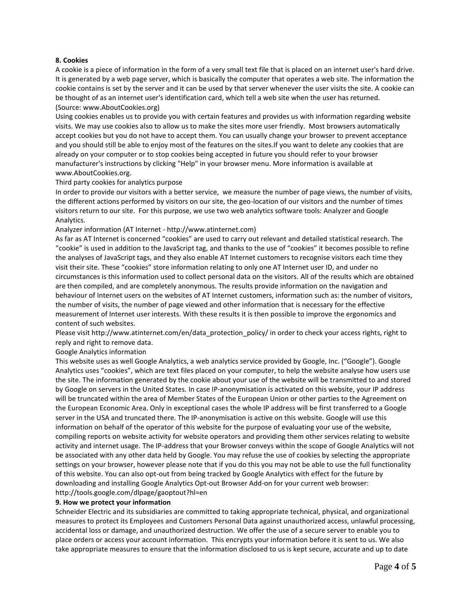# **8. Cookies**

A cookie is a piece of information in the form of a very small text file that is placed on an internet user's hard drive. It is generated by a web page server, which is basically the computer that operates a web site. The information the cookie contains is set by the server and it can be used by that server whenever the user visits the site. A cookie can be thought of as an internet user's identification card, which tell a web site when the user has returned. (Source: www.AboutCookies.org)

Using cookies enables us to provide you with certain features and provides us with information regarding website visits. We may use cookies also to allow us to make the sites more user friendly. Most browsers automatically accept cookies but you do not have to accept them. You can usually change your browser to prevent acceptance and you should still be able to enjoy most of the features on the sites.If you want to delete any cookies that are already on your computer or to stop cookies being accepted in future you should refer to your browser manufacturer's instructions by clicking "Help" in your browser menu. More information is available at www.AboutCookies.org.

Third party cookies for analytics purpose

In order to provide our visitors with a better service, we measure the number of page views, the number of visits, the different actions performed by visitors on our site, the geo-location of our visitors and the number of times visitors return to our site. For this purpose, we use two web analytics software tools: Analyzer and Google Analytics.

Analyzer information (AT Internet - http://www.atinternet.com)

As far as AT Internet is concerned "cookies" are used to carry out relevant and detailed statistical research. The "cookie" is used in addition to the JavaScript tag, and thanks to the use of "cookies" it becomes possible to refine the analyses of JavaScript tags, and they also enable AT Internet customers to recognise visitors each time they visit their site. These "cookies" store information relating to only one AT Internet user ID, and under no circumstances is this information used to collect personal data on the visitors. All of the results which are obtained are then compiled, and are completely anonymous. The results provide information on the navigation and behaviour of Internet users on the websites of AT Internet customers, information such as: the number of visitors, the number of visits, the number of page viewed and other information that is necessary for the effective measurement of Internet user interests. With these results it is then possible to improve the ergonomics and content of such websites.

Please visit http://www.atinternet.com/en/data\_protection\_policy/ in order to check your access rights, right to reply and right to remove data.

Google Analytics information

This website uses as well Google Analytics, a web analytics service provided by Google, Inc. ("Google"). Google Analytics uses "cookies", which are text files placed on your computer, to help the website analyse how users use the site. The information generated by the cookie about your use of the website will be transmitted to and stored by Google on servers in the United States. In case IP-anonymisation is activated on this website, your IP address will be truncated within the area of Member States of the European Union or other parties to the Agreement on the European Economic Area. Only in exceptional cases the whole IP address will be first transferred to a Google server in the USA and truncated there. The IP-anonymisation is active on this website. Google will use this information on behalf of the operator of this website for the purpose of evaluating your use of the website, compiling reports on website activity for website operators and providing them other services relating to website activity and internet usage. The IP-address that your Browser conveys within the scope of Google Analytics will not be associated with any other data held by Google. You may refuse the use of cookies by selecting the appropriate settings on your browser, however please note that if you do this you may not be able to use the full functionality of this website. You can also opt-out from being tracked by Google Analytics with effect for the future by downloading and installing Google Analytics Opt-out Browser Add-on for your current web browser: http://tools.google.com/dlpage/gaoptout?hl=en

### **9. How we protect your information**

Schneider Electric and its subsidiaries are committed to taking appropriate technical, physical, and organizational measures to protect its Employees and Customers Personal Data against unauthorized access, unlawful processing, accidental loss or damage, and unauthorized destruction. We offer the use of a secure server to enable you to place orders or access your account information. This encrypts your information before it is sent to us. We also take appropriate measures to ensure that the information disclosed to us is kept secure, accurate and up to date